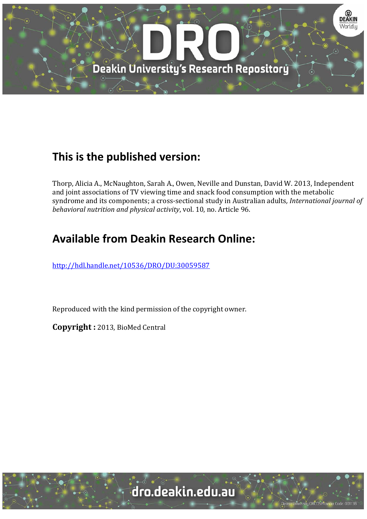

## **This is the published version:**

Thorp, Alicia A., McNaughton, Sarah A., Owen, Neville and Dunstan, David W. 2013, Independent and joint associations of TV viewing time and snack food consumption with the metabolic syndrome and its components; a cross-sectional study in Australian adults, *International journal of behavioral nutrition and physical activity*, vol. 10, no. Article 96. 

# **Available from Deakin Research Online:**

http://hdl.handle.net/10536/DRO/DU:30059587

Reproduced with the kind permission of the copyright owner.

**Copyright :** 2013, BioMed Central 

University CRICOS Provider Code: 00113B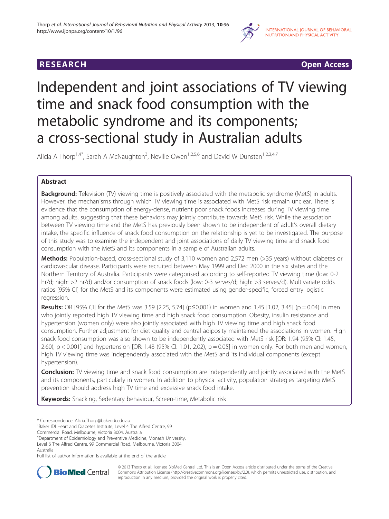

**RESEARCH RESEARCH CONSUMING ACCESS** 

# Independent and joint associations of TV viewing time and snack food consumption with the metabolic syndrome and its components; a cross-sectional study in Australian adults

Alicia A Thorp<sup>1,4\*</sup>, Sarah A McNaughton<sup>3</sup>, Neville Owen<sup>1,2,5,6</sup> and David W Dunstan<sup>1,2,3,4,7</sup>

### Abstract

Background: Television (TV) viewing time is positively associated with the metabolic syndrome (MetS) in adults. However, the mechanisms through which TV viewing time is associated with MetS risk remain unclear. There is evidence that the consumption of energy-dense, nutrient poor snack foods increases during TV viewing time among adults, suggesting that these behaviors may jointly contribute towards MetS risk. While the association between TV viewing time and the MetS has previously been shown to be independent of adult's overall dietary intake, the specific influence of snack food consumption on the relationship is yet to be investigated. The purpose of this study was to examine the independent and joint associations of daily TV viewing time and snack food consumption with the MetS and its components in a sample of Australian adults.

Methods: Population-based, cross-sectional study of 3,110 women and 2,572 men (>35 years) without diabetes or cardiovascular disease. Participants were recruited between May 1999 and Dec 2000 in the six states and the Northern Territory of Australia. Participants were categorised according to self-reported TV viewing time (low: 0-2 hr/d; high: >2 hr/d) and/or consumption of snack foods (low: 0-3 serves/d; high: >3 serves/d). Multivariate odds ratios [95% CI] for the MetS and its components were estimated using gender-specific, forced entry logistic regression.

**Results:** OR [95% CI] for the MetS was 3.59 [2.25, 5.74] ( $p \le 0.001$ ) in women and 1.45 [1.02, 3.45] ( $p = 0.04$ ) in men who jointly reported high TV viewing time and high snack food consumption. Obesity, insulin resistance and hypertension (women only) were also jointly associated with high TV viewing time and high snack food consumption. Further adjustment for diet quality and central adiposity maintained the associations in women. High snack food consumption was also shown to be independently associated with MetS risk [OR: 1.94 (95% CI: 1.45, 2.60), p < 0.001] and hypertension [OR: 1.43 (95% CI: 1.01, 2.02), p = 0.05] in women only. For both men and women, high TV viewing time was independently associated with the MetS and its individual components (except hypertension).

Conclusion: TV viewing time and snack food consumption are independently and jointly associated with the MetS and its components, particularly in women. In addition to physical activity, population strategies targeting MetS prevention should address high TV time and excessive snack food intake.

Keywords: Snacking, Sedentary behaviour, Screen-time, Metabolic risk

4 Department of Epidemiology and Preventive Medicine, Monash University, Level 6 The Alfred Centre, 99 Commercial Road, Melbourne, Victoria 3004, Australia

Full list of author information is available at the end of the article



© 2013 Thorp et al.; licensee BioMed Central Ltd. This is an Open Access article distributed under the terms of the Creative Commons Attribution License [\(http://creativecommons.org/licenses/by/2.0\)](http://creativecommons.org/licenses/by/2.0), which permits unrestricted use, distribution, and reproduction in any medium, provided the original work is properly cited.

<sup>\*</sup> Correspondence: [Alicia.Thorp@bakeridi.edu.au](mailto:Alicia.Thorp@bakeridi.edu.au) <sup>1</sup>

<sup>&</sup>lt;sup>1</sup>Baker IDI Heart and Diabetes Institute, Level 4 The Alfred Centre, 99

Commercial Road, Melbourne, Victoria 3004, Australia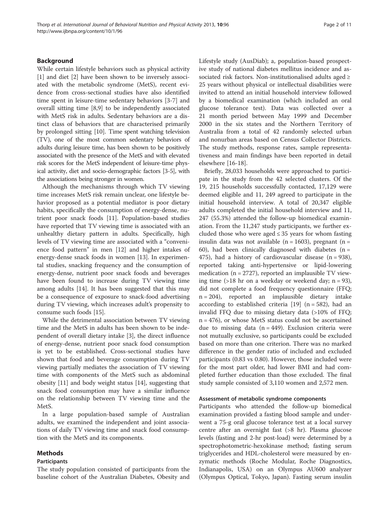#### Background

While certain lifestyle behaviors such as physical activity [[1\]](#page-10-0) and diet [\[2](#page-10-0)] have been shown to be inversely associated with the metabolic syndrome (MetS), recent evidence from cross-sectional studies have also identified time spent in leisure-time sedentary behaviors [\[3](#page-10-0)-[7\]](#page-10-0) and overall sitting time [[8,9\]](#page-10-0) to be independently associated with MetS risk in adults. Sedentary behaviors are a distinct class of behaviors that are characterised primarily by prolonged sitting [\[10](#page-10-0)]. Time spent watching television (TV), one of the most common sedentary behaviors of adults during leisure time, has been shown to be positively associated with the presence of the MetS and with elevated risk scores for the MetS independent of leisure-time physical activity, diet and socio-demographic factors [\[3-5\]](#page-10-0), with the associations being stronger in women.

Although the mechanisms through which TV viewing time increases MetS risk remain unclear, one lifestyle behavior proposed as a potential mediator is poor dietary habits, specifically the consumption of energy-dense, nutrient poor snack foods [\[11](#page-10-0)]. Population-based studies have reported that TV viewing time is associated with an unhealthy dietary pattern in adults. Specifically, high levels of TV viewing time are associated with a "convenience food pattern" in men [\[12](#page-10-0)] and higher intakes of energy-dense snack foods in women [\[13](#page-10-0)]. In experimental studies, snacking frequency and the consumption of energy-dense, nutrient poor snack foods and beverages have been found to increase during TV viewing time among adults [\[14](#page-11-0)]. It has been suggested that this may be a consequence of exposure to snack-food advertising during TV viewing, which increases adult's propensity to consume such foods [\[15](#page-11-0)].

While the detrimental association between TV viewing time and the MetS in adults has been shown to be independent of overall dietary intake [[3\]](#page-10-0), the direct influence of energy-dense, nutrient poor snack food consumption is yet to be established. Cross-sectional studies have shown that food and beverage consumption during TV viewing partially mediates the association of TV viewing time with components of the MetS such as abdominal obesity [[11\]](#page-10-0) and body weight status [\[14\]](#page-11-0), suggesting that snack food consumption may have a similar influence on the relationship between TV viewing time and the MetS.

In a large population-based sample of Australian adults, we examined the independent and joint associations of daily TV viewing time and snack food consumption with the MetS and its components.

#### Methods

#### Participants

The study population consisted of participants from the baseline cohort of the Australian Diabetes, Obesity and Lifestyle study (AusDiab); a, population-based prospective study of national diabetes mellitus incidence and associated risk factors. Non-institutionalised adults aged ≥ 25 years without physical or intellectual disabilities were invited to attend an initial household interview followed by a biomedical examination (which included an oral glucose tolerance test). Data was collected over a 21 month period between May 1999 and December 2000 in the six states and the Northern Territory of Australia from a total of 42 randomly selected urban and nonurban areas based on Census Collector Districts. The study methods, response rates, sample representativeness and main findings have been reported in detail elsewhere [[16-18\]](#page-11-0).

Briefly, 28,033 households were approached to participate in the study from the 42 selected clusters. Of the 19, 215 households successfully contacted, 17,129 were deemed eligible and 11, 249 agreed to participate in the initial household interview. A total of 20,347 eligible adults completed the initial household interview and 11, 247 (55.3%) attended the follow-up biomedical examination. From the 11,247 study participants, we further excluded those who were aged  $\leq$  35 years for whom fasting insulin data was not available ( $n = 1603$ ), pregnant ( $n =$ 60), had been clinically diagnosed with diabetes  $(n =$ 475), had a history of cardiovascular disease  $(n = 938)$ , reported taking anti-hypertensive or lipid-lowering medication ( $n = 2727$ ), reported an implausible TV viewing time  $(>18$  hr on a weekday or weekend day; n = 93), did not complete a food frequency questionnaire (FFQ; n = 204), reported an implausible dietary intake according to established criteria  $[19]$  $[19]$  (n = 582), had an invalid FFQ due to missing dietary data (>10% of FFQ; n = 476), or whose MetS status could not be ascertained due to missing data  $(n = 449)$ . Exclusion criteria were not mutually exclusive, so participants could be excluded based on more than one criterion. There was no marked difference in the gender ratio of included and excluded participants (0.83 vs 0.80). However, those included were for the most part older, had lower BMI and had completed further education than those excluded. The final study sample consisted of 3,110 women and 2,572 men.

#### Assessment of metabolic syndrome components

Participants who attended the follow-up biomedical examination provided a fasting blood sample and underwent a 75-g oral glucose tolerance test at a local survey centre after an overnight fast (>8 hr). Plasma glucose levels (fasting and 2-hr post-load) were determined by a spectrophotometric-hexokinase method; fasting serum triglycerides and HDL-cholesterol were measured by enzymatic methods (Roche Modular, Roche Diagnostics, Indianapolis, USA) on an Olympus AU600 analyzer (Olympus Optical, Tokyo, Japan). Fasting serum insulin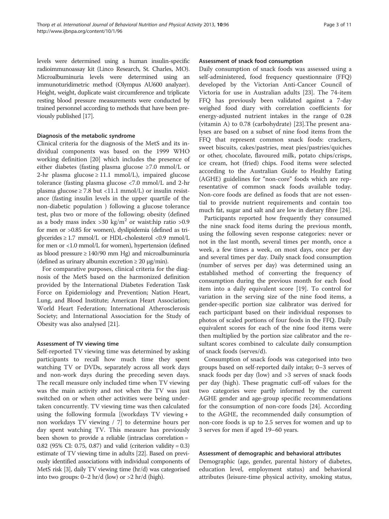levels were determined using a human insulin-specific radioimmunoassay kit (Linco Research, St. Charles, MO). Microalbuminuria levels were determined using an immunoturidimetric method (Olympus AU600 analyzer). Height, weight, duplicate waist circumference and triplicate resting blood pressure measurements were conducted by trained personnel according to methods that have been previously published [[17](#page-11-0)].

#### Diagnosis of the metabolic syndrome

Clinical criteria for the diagnosis of the MetS and its individual components was based on the 1999 WHO working definition [\[20\]](#page-11-0) which includes the presence of either diabetes (fasting plasma glucose ≥7.0 mmol/L or 2-hr plasma glucose  $\geq$  11.1 mmol/L), impaired glucose tolerance (fasting plasma glucose <7.0 mmol/L and 2-hr plasma glucose  $\geq 7.8$  but <11.1 mmol/L) or insulin resistance (fasting insulin levels in the upper quartile of the non-diabetic population ) following a glucose tolerance test, plus two or more of the following; obesity (defined as a body mass index  $>$  30 kg/m<sup>2</sup> or waist:hip ratio  $>$  0.9 for men or >0.85 for women), dyslipidemia (defined as triglycerides  $\geq$  1.7 mmol/L or HDL-cholesterol <0.9 mmol/L for men or <1.0 mmol/L for women), hypertension (defined as blood pressure  $\geq$  140/90 mm Hg) and microalbuminuria (defined as urinary albumin excretion  $\geq 20 \mu g/min$ ).

For comparative purposes, clinical criteria for the diagnosis of the MetS based on the harmonized definition provided by the International Diabetes Federation Task Force on Epidemiology and Prevention; Nation Heart, Lung, and Blood Institute; American Heart Association; World Heart Federation; International Atherosclerosis Society; and International Association for the Study of Obesity was also analysed [\[21](#page-11-0)].

#### Assessment of TV viewing time

Self-reported TV viewing time was determined by asking participants to recall how much time they spent watching TV or DVDs, separately across all work days and non-work days during the preceding seven days. The recall measure only included time when TV viewing was the main activity and not when the TV was just switched on or when other activities were being undertaken concurrently. TV viewing time was then calculated using the following formula [(workdays TV viewing + non workdays TV viewing / 7] to determine hours per day spent watching TV. This measure has previously been shown to provide a reliable (intraclass correlation = 0.82 (95% CI: 0.75, 0.87) and valid (criterion validity = 0.3) estimate of TV viewing time in adults [\[22\]](#page-11-0). Based on previously identified associations with individual components of MetS risk [[3](#page-10-0)], daily TV viewing time (hr/d) was categorised into two groups:  $0-2$  hr/d (low) or  $>2$  hr/d (high).

#### Assessment of snack food consumption

Daily consumption of snack foods was assessed using a self-administered, food frequency questionnaire (FFQ) developed by the Victorian Anti-Cancer Council of Victoria for use in Australian adults [[23\]](#page-11-0). The 74-item FFQ has previously been validated against a 7-day weighed food diary with correlation coefficients for energy-adjusted nutrient intakes in the range of 0.28 (vitamin A) to 0.78 (carbohydrate) [[23\]](#page-11-0).The present analyses are based on a subset of nine food items from the FFQ that represent common snack foods: crackers, sweet biscuits, cakes/pastries, meat pies/pastries/quiches or other, chocolate, flavoured milk, potato chips/crisps, ice cream, hot (fried) chips. Food items were selected according to the Australian Guide to Healthy Eating (AGHE) guidelines for "non-core" foods which are representative of common snack foods available today. Non-core foods are defined as foods that are not essential to provide nutrient requirements and contain too much fat, sugar and salt and are low in dietary fibre [\[24](#page-11-0)].

Participants reported how frequently they consumed the nine snack food items during the previous month, using the following seven response categories: never or not in the last month, several times per month, once a week, a few times a week, on most days, once per day and several times per day. Daily snack food consumption (number of serves per day) was determined using an established method of converting the frequency of consumption during the previous month for each food item into a daily equivalent score [[19\]](#page-11-0). To control for variation in the serving size of the nine food items, a gender-specific portion size calibrator was derived for each participant based on their individual responses to photos of scaled portions of four foods in the FFQ. Daily equivalent scores for each of the nine food items were then multiplied by the portion size calibrator and the resultant scores combined to calculate daily consumption of snack foods (serves/d).

Consumption of snack foods was categorised into two groups based on self-reported daily intake; 0–3 serves of snack foods per day (low) and >3 serves of snack foods per day (high). These pragmatic cuff-off values for the two categories were partly informed by the current AGHE gender and age-group specific recommendations for the consumption of non-core foods [\[24](#page-11-0)]. According to the AGHE, the recommended daily consumption of non-core foods is up to 2.5 serves for women and up to 3 serves for men if aged 19–60 years.

#### Assessment of demographic and behavioral attributes

Demographic (age, gender, parental history of diabetes, education level, employment status) and behavioral attributes (leisure-time physical activity, smoking status,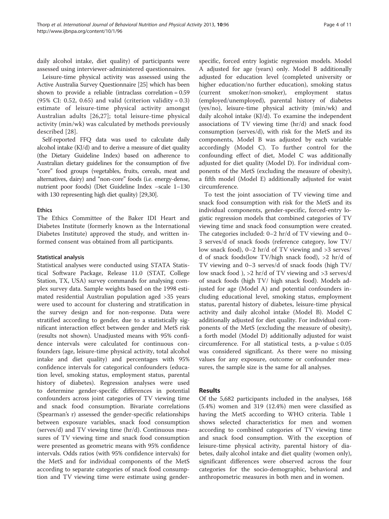daily alcohol intake, diet quality) of participants were assessed using interviewer-administered questionnaires.

Leisure-time physical activity was assessed using the Active Australia Survey Questionnaire [\[25](#page-11-0)] which has been shown to provide a reliable (intraclass correlation = 0.59 (95% CI: 0.52, 0.65) and valid (criterion validity =  $0.3$ ) estimate of leisure-time physical activity amongst Australian adults [[26](#page-11-0),[27\]](#page-11-0); total leisure-time physical activity (min/wk) was calculated by methods previously described [[28](#page-11-0)].

Self-reported FFQ data was used to calculate daily alcohol intake (KJ/d) and to derive a measure of diet quality (the Dietary Guideline Index) based on adherence to Australian dietary guidelines for the consumption of five "core" food groups (vegetables, fruits, cereals, meat and alternatives, dairy) and "non-core" foods (i.e. energy-dense, nutrient poor foods) (Diet Guideline Index –scale 1–130 with 130 representing high diet quality) [\[29,30](#page-11-0)].

#### **Ethics**

The Ethics Committee of the Baker IDI Heart and Diabetes Institute (formerly known as the International Diabetes Institute) approved the study, and written informed consent was obtained from all participants.

#### Statistical analysis

Statistical analyses were conducted using STATA Statistical Software Package, Release 11.0 (STAT, College Station, TX, USA) survey commands for analysing complex survey data. Sample weights based on the 1998 estimated residential Australian population aged >35 years were used to account for clustering and stratification in the survey design and for non-response. Data were stratified according to gender, due to a statistically significant interaction effect between gender and MetS risk (results not shown). Unadjusted means with 95% confidence intervals were calculated for continuous confounders (age, leisure-time physical activity, total alcohol intake and diet quality) and percentages with 95% confidence intervals for categorical confounders (education level, smoking status, employment status, parental history of diabetes). Regression analyses were used to determine gender-specific differences in potential confounders across joint categories of TV viewing time and snack food consumption. Bivariate correlations (Spearman's r) assessed the gender-specific relationships between exposure variables, snack food consumption (serves/d) and TV viewing time (hr/d). Continuous measures of TV viewing time and snack food consumption were presented as geometric means with 95% confidence intervals. Odds ratios (with 95% confidence intervals) for the MetS and for individual components of the MetS according to separate categories of snack food consumption and TV viewing time were estimate using gender-

specific, forced entry logistic regression models. Model A adjusted for age (years) only. Model B additionally adjusted for education level (completed university or higher education/no further education), smoking status (current smoker/non-smoker), employment status (employed/unemployed), parental history of diabetes (yes/no), leisure-time physical activity (min/wk) and daily alcohol intake (KJ/d). To examine the independent associations of TV viewing time (hr/d) and snack food consumption (serves/d), with risk for the MetS and its components, Model B was adjusted by each variable accordingly (Model C). To further control for the confounding effect of diet, Model C was additionally adjusted for diet quality (Model D). For individual components of the MetS (excluding the measure of obesity), a fifth model (Model E) additionally adjusted for waist circumference.

To test the joint association of TV viewing time and snack food consumption with risk for the MetS and its individual components, gender-specific, forced-entry logistic regression models that combined categories of TV viewing time and snack food consumption were created. The categories included: 0–2 hr/d of TV viewing and 0– 3 serves/d of snack foods (reference category, low TV/ low snack food), 0–2 hr/d of TV viewing and >3 serves/ d of snack foods(low TV/high snack food), >2 hr/d of TV viewing and 0–3 serves/d of snack foods (high TV/ low snack food ), >2 hr/d of TV viewing and >3 serves/d of snack foods (high TV/ high snack food). Models adjusted for age (Model A) and potential confounders including educational level, smoking status, employment status, parental history of diabetes, leisure-time physical activity and daily alcohol intake (Model B). Model C additionally adjusted for diet quality. For individual components of the MetS (excluding the measure of obesity), a forth model (Model D) additionally adjusted for waist circumference. For all statistical tests, a p-value  $\leq 0.05$ was considered significant. As there were no missing values for any exposure, outcome or confounder measures, the sample size is the same for all analyses.

#### Results

Of the 5,682 participants included in the analyses, 168 (5.4%) women and 319 (12.4%) men were classified as having the MetS according to WHO criteria. Table [1](#page-5-0) shows selected characteristics for men and women according to combined categories of TV viewing time and snack food consumption. With the exception of leisure-time physical activity, parental history of diabetes, daily alcohol intake and diet quality (women only), significant differences were observed across the four categories for the socio-demographic, behavioral and anthropometric measures in both men and in women.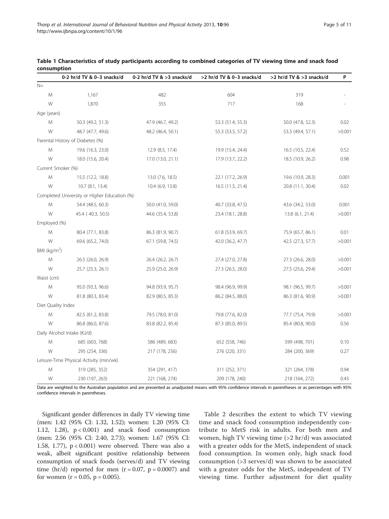|                    | 0-2 hr/d TV & 0-3 snacks/d                   | 0-2 hr/d TV & >3 snacks/d | >2 hr/d TV & 0-3 snacks/d | >2 hr/d TV & >3 snacks/d | P      |
|--------------------|----------------------------------------------|---------------------------|---------------------------|--------------------------|--------|
| $N =$              |                                              |                           |                           |                          |        |
| M                  | 1,167                                        | 482                       | 604                       | 319                      |        |
| W                  | 1,870                                        | 355                       | 717                       | 168                      |        |
| Age (years)        |                                              |                           |                           |                          |        |
| M                  | 50.3 (49.2, 51.3)                            | 47.9 (46.7, 49.2)         | 53.3 (51.4, 55.3)         | 50.0 (47.8, 52.3)        | 0.02   |
| W                  | 48.7 (47.7, 49.6)                            | 48.2 (46.4, 50.1)         | 55.3 (53.5, 57.2)         | 53.3 (49.4, 57.1)        | >0.001 |
|                    | Parental History of Diabetes (%)             |                           |                           |                          |        |
| M                  | 19.6 (16.3, 23.0)                            | 12.9 (8.5, 17.4)          | 19.9 (15.4, 24.4)         | 16.5 (10.5, 22.4)        | 0.52   |
| W                  | 18.0 (15.6, 20.4)                            | 17.0 (13.0, 21.1)         | 17.9 (13.7, 22.2)         | 18.5 (10.9, 26.2)        | 0.98   |
| Current Smoker (%) |                                              |                           |                           |                          |        |
| M                  | 15.5 (12.2, 18.8)                            | 13.0 (7.6, 18.5)          | 22.1 (17.2, 26.9)         | 19.6 (10.9, 28.3)        | 0.001  |
| W                  | 10.7 (8.1, 13.4)                             | 10.4 (6.9, 13.8)          | 16.5 (11.5, 21.4)         | 20.8 (11.1, 30.4)        | 0.02   |
|                    | Completed University or Higher Education (%) |                           |                           |                          |        |
| M                  | 54.4 (48.5, 60.3)                            | 50.0 (41.0, 59.0)         | 40.7 (33.8, 47.5)         | 43.6 (34.2, 53.0)        | 0.001  |
| W                  | 45.4 (40.3, 50.5)                            | 44.6 (35.4, 53.8)         | 23.4 (18.1, 28.8)         | 13.8 (6.1, 21.4)         | >0.001 |
| Employed (%)       |                                              |                           |                           |                          |        |
| M                  | 80.4 (77.1, 83.8)                            | 86.3 (81.9, 90.7)         | 61.8 (53.9, 69.7)         | 75.9 (65.7, 86.1)        | 0.01   |
| W                  | 69.6 (65.2, 74.0)                            | 67.1 (59.8, 74.5)         | 42.0 (36.2, 47.7)         | 42.5 (27.3, 57.7)        | >0.001 |
| BMI ( $kg/m2$ )    |                                              |                           |                           |                          |        |
| M                  | 26.5 (26.0, 26.9)                            | 26.4 (26.2, 26.7)         | 27.4 (27.0, 27.8)         | 27.3 (26.6, 28.0)        | >0.001 |
| W                  | 25.7 (25.3, 26.1)                            | 25.9 (25.0, 26.9)         | 27.3 (26.5, 28.0)         | 27.5 (25.6, 29.4)        | >0.001 |
| Waist (cm)         |                                              |                           |                           |                          |        |
| M                  | 95.0 (93.3, 96.6)                            | 94.8 (93.9, 95.7)         | 98.4 (96.9, 99.9)         | 98.1 (96.5, 99.7)        | >0.001 |
| W                  | 81.8 (80.3, 83.4)                            | 82.9 (80.5, 85.3)         | 86.2 (84.5, 88.0)         | 86.3 (81.6, 90.9)        | >0.001 |
| Diet Quality Index |                                              |                           |                           |                          |        |
| M                  | 82.5 (81.2, 83.8)                            | 79.5 (78.0, 81.0)         | 79.8 (77.6, 82.0)         | 77.7 (75.4, 79.9)        | >0.001 |
| W                  | 86.8 (86.0, 87.6)                            | 83.8 (82.2, 85.4)         | 87.3 (85.0, 89.5)         | 85.4 (80.8, 90.0)        | 0.56   |
|                    | Daily Alcohol Intake (KJ/d)                  |                           |                           |                          |        |
| M                  | 685 (603, 768)                               | 586 (489, 683)            | 652 (558, 746)            | 599 (498, 701)           | 0.10   |
| W                  | 295 (254, 336)                               | 217 (178, 256)            | 276 (220, 331)            | 284 (200, 369)           | 0.27   |
|                    | Leisure-Time Physical Activity (min/wk)      |                           |                           |                          |        |
| M                  | 319 (285, 352)                               | 354 (291, 417)            | 311 (252, 371)            | 321 (264, 378)           | 0.94   |
| W                  | 230 (197, 263)                               | 221 (168, 274)            | 209 (178, 240)            | 218 (164, 272)           | 0.43   |

<span id="page-5-0"></span>

| Table 1 Characteristics of study participants according to combined categories of TV viewing time and snack food |  |  |  |  |  |
|------------------------------------------------------------------------------------------------------------------|--|--|--|--|--|
| consumption                                                                                                      |  |  |  |  |  |

Data are weighted to the Australian population and are presented as unadjusted means with 95% confidence intervals in parentheses or as percentages with 95% confidence intervals in parentheses.

Significant gender differences in daily TV viewing time (men: 1.42 (95% CI: 1.32, 1.52); women: 1.20 (95% CI: 1.12, 1.28), p < 0.001) and snack food consumption (men: 2.56 (95% CI: 2.40, 2.73); women: 1.67 (95% CI: 1.58, 1.77), p < 0.001) were observed. There was also a weak, albeit significant positive relationship between consumption of snack foods (serves/d) and TV viewing time (hr/d) reported for men ( $r = 0.07$ ,  $p = 0.0007$ ) and for women  $(r = 0.05, p = 0.005)$ .

Table [2](#page-6-0) describes the extent to which TV viewing time and snack food consumption independently contribute to MetS risk in adults. For both men and women, high TV viewing time (>2 hr/d) was associated with a greater odds for the MetS, independent of snack food consumption. In women only, high snack food consumption (>3 serves/d) was shown to be associated with a greater odds for the MetS, independent of TV viewing time. Further adjustment for diet quality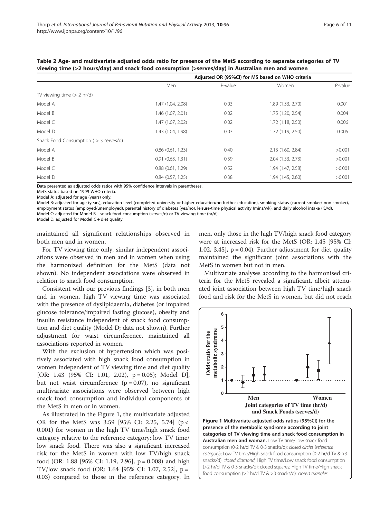| . .                                   |                                                  | . .     |                   |         |  |  |
|---------------------------------------|--------------------------------------------------|---------|-------------------|---------|--|--|
|                                       | Adjusted OR (95%CI) for MS based on WHO criteria |         |                   |         |  |  |
|                                       | Men                                              | P-value | Women             | P-value |  |  |
| TV viewing time $(> 2 \ hr/d)$        |                                                  |         |                   |         |  |  |
| Model A                               | 1.47 (1.04, 2.08)                                | 0.03    | 1.89 (1.33, 2.70) | 0.001   |  |  |
| Model B                               | 1.46 (1.07, 2.01)                                | 0.02    | 1.75 (1.20, 2.54) | 0.004   |  |  |
| Model C                               | 1.47 (1.07, 2.02)                                | 0.02    | 1.72 (1.18, 2.50) | 0.006   |  |  |
| Model D                               | 1.43 (1.04, 1.98)                                | 0.03    | 1.72(1.19, 2.50)  | 0.005   |  |  |
| Snack Food Consumption (> 3 serves/d) |                                                  |         |                   |         |  |  |
| Model A                               | $0.86$ $(0.61, 1.23)$                            | 0.40    | 2.13 (1.60, 2.84) | >0.001  |  |  |
| Model B                               | 0.91(0.63, 1.31)                                 | 0.59    | 2.04 (1.53, 2.73) | >0.001  |  |  |
| Model C                               | 0.88(0.61, 1.29)                                 | 0.52    | 1.94 (1.47, 2.58) | >0.001  |  |  |
| Model D                               | $0.84$ $(0.57, 1.25)$                            | 0.38    | 1.94 (1.45, 2.60) | >0.001  |  |  |

<span id="page-6-0"></span>Table 2 Age- and multivariate adjusted odds ratio for presence of the MetS according to separate categories of TV viewing time (>2 hours/day) and snack food consumption (>serves/day) in Australian men and women

Data presented as adjusted odds ratios with 95% confidence intervals in parentheses.

MetS status based on 1999 WHO criteria.

Model A: adjusted for age (years) only.

Model B: adjusted for age (years), education level (completed university or higher education/no further education), smoking status (current smoker/ non-smoker), employment status (employed/unemployed), parental history of diabetes (yes/no), leisure-time physical activity (mins/wk), and daily alcohol intake (KJ/d). Model C: adjusted for Model B + snack food consumption (serves/d) or TV viewing time (hr/d).

Model D: adjusted for Model C + diet quality.

maintained all significant relationships observed in both men and in women.

For TV viewing time only, similar independent associations were observed in men and in women when using the harmonized definition for the MetS (data not shown). No independent associations were observed in relation to snack food consumption.

Consistent with our previous findings [\[3](#page-10-0)], in both men and in women, high TV viewing time was associated with the presence of dyslipidaemia, diabetes (or impaired glucose tolerance/impaired fasting glucose), obesity and insulin resistance independent of snack food consumption and diet quality (Model D; data not shown). Further adjustment for waist circumference, maintained all associations reported in women.

With the exclusion of hypertension which was positively associated with high snack food consumption in women independent of TV viewing time and diet quality [OR: 1.43 (95% CI: 1.01, 2.02), p = 0.05); Model D], but not waist circumference  $(p = 0.07)$ , no significant multivariate associations were observed between high snack food consumption and individual components of the MetS in men or in women.

As illustrated in the Figure 1, the multivariate adjusted OR for the MetS was 3.59 [95% CI: 2.25, 5.74] (p < 0.001) for women in the high TV time/high snack food category relative to the reference category: low TV time/ low snack food. There was also a significant increased risk for the MetS in women with low TV/high snack food (OR: 1.88 [95% CI: 1.19, 2.96], p = 0.008) and high TV/low snack food (OR: 1.64 [95% CI: 1.07, 2.52], p = 0.03) compared to those in the reference category. In

men, only those in the high TV/high snack food category were at increased risk for the MetS (OR: 1.45 [95% CI: 1.02, 3.45],  $p = 0.04$ ). Further adjustment for diet quality maintained the significant joint associations with the MetS in women but not in men.

Multivariate analyses according to the harmonised criteria for the MetS revealed a significant, albeit attenuated joint association between high TV time/high snack food and risk for the MetS in women, but did not reach

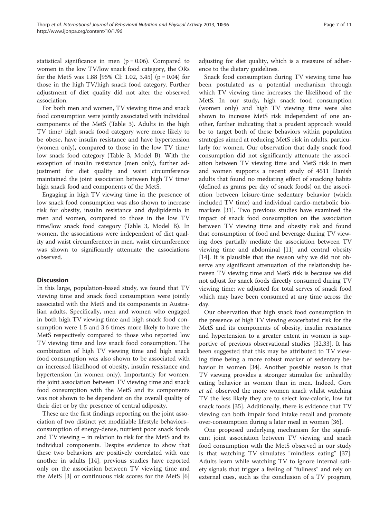statistical significance in men ( $p = 0.06$ ). Compared to women in the low TV/low snack food category, the ORs for the MetS was  $1.88$  [95% CI: 1.02, 3.45] (p = 0.04) for those in the high TV/high snack food category. Further adjustment of diet quality did not alter the observed association.

For both men and women, TV viewing time and snack food consumption were jointly associated with individual components of the MetS (Table [3\)](#page-8-0). Adults in the high TV time/ high snack food category were more likely to be obese, have insulin resistance and have hypertension (women only), compared to those in the low TV time/ low snack food category (Table [3](#page-8-0), Model B). With the exception of insulin resistance (men only), further adjustment for diet quality and waist circumference maintained the joint association between high TV time/ high snack food and components of the MetS.

Engaging in high TV viewing time in the presence of low snack food consumption was also shown to increase risk for obesity, insulin resistance and dyslipidemia in men and women, compared to those in the low TV time/low snack food category (Table [3,](#page-8-0) Model B). In women, the associations were independent of diet quality and waist circumference; in men, waist circumference was shown to significantly attenuate the associations observed.

#### **Discussion**

In this large, population-based study, we found that TV viewing time and snack food consumption were jointly associated with the MetS and its components in Australian adults. Specifically, men and women who engaged in both high TV viewing time and high snack food consumption were 1.5 and 3.6 times more likely to have the MetS respectively compared to those who reported low TV viewing time and low snack food consumption. The combination of high TV viewing time and high snack food consumption was also shown to be associated with an increased likelihood of obesity, insulin resistance and hypertension (in women only). Importantly for women, the joint association between TV viewing time and snack food consumption with the MetS and its components was not shown to be dependent on the overall quality of their diet or by the presence of central adiposity.

These are the first findings reporting on the joint association of two distinct yet modifiable lifestyle behaviors– consumption of energy-dense, nutrient poor snack foods and TV viewing – in relation to risk for the MetS and its individual components. Despite evidence to show that these two behaviors are positively correlated with one another in adults [[14\]](#page-11-0), previous studies have reported only on the association between TV viewing time and the MetS [[3\]](#page-10-0) or continuous risk scores for the MetS [\[6](#page-10-0)]

adjusting for diet quality, which is a measure of adherence to the dietary guidelines.

Snack food consumption during TV viewing time has been postulated as a potential mechanism through which TV viewing time increases the likelihood of the MetS. In our study, high snack food consumption (women only) and high TV viewing time were also shown to increase MetS risk independent of one another, further indicating that a prudent approach would be to target both of these behaviors within population strategies aimed at reducing MetS risk in adults, particularly for women. Our observation that daily snack food consumption did not significantly attenuate the association between TV viewing time and MetS risk in men and women supports a recent study of 4511 Danish adults that found no mediating effect of snacking habits (defined as grams per day of snack foods) on the association between leisure-time sedentary behavior (which included TV time) and individual cardio-metabolic biomarkers [\[31](#page-11-0)]. Two previous studies have examined the impact of snack food consumption on the association between TV viewing time and obesity risk and found that consumption of food and beverage during TV viewing does partially mediate the association between TV viewing time and abdominal [\[11](#page-10-0)] and central obesity [[14\]](#page-11-0). It is plausible that the reason why we did not observe any significant attenuation of the relationship between TV viewing time and MetS risk is because we did not adjust for snack foods directly consumed during TV viewing time; we adjusted for total serves of snack food which may have been consumed at any time across the day.

Our observation that high snack food consumption in the presence of high TV viewing exacerbated risk for the MetS and its components of obesity, insulin resistance and hypertension to a greater extent in women is supportive of previous observational studies [[32,33\]](#page-11-0). It has been suggested that this may be attributed to TV viewing time being a more robust marker of sedentary behavior in women [[34\]](#page-11-0). Another possible reason is that TV viewing provides a stronger stimulus for unhealthy eating behavior in women than in men. Indeed, Gore et al. observed the more women snack whilst watching TV the less likely they are to select low-caloric, low fat snack foods [\[35](#page-11-0)]. Additionally, there is evidence that TV viewing can both impair food intake recall and promote over-consumption during a later meal in women [\[36\]](#page-11-0).

One proposed underlying mechanism for the significant joint association between TV viewing and snack food consumption with the MetS observed in our study is that watching TV simulates "mindless eating" [\[37](#page-11-0)]. Adults learn while watching TV to ignore internal satiety signals that trigger a feeling of "fullness" and rely on external cues, such as the conclusion of a TV program,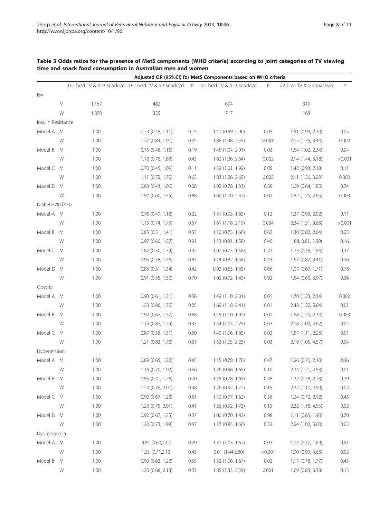<span id="page-8-0"></span>

| Table 3 Odds ratios for the presence of MetS components (WHO criteria) according to joint categories of TV viewing |  |
|--------------------------------------------------------------------------------------------------------------------|--|
| time and snack food consumption in Australian men and women                                                        |  |

|                    | Adjusted OR (95%CI) for MetS Components based on WHO criteria |                                                                                  |                       |      |                       |        |                          |        |  |
|--------------------|---------------------------------------------------------------|----------------------------------------------------------------------------------|-----------------------|------|-----------------------|--------|--------------------------|--------|--|
|                    |                                                               | 0-2 hr/d TV & 0-3 snacks/d 0-2 hr/d TV & >3 snacks/d P >2 hr/d TV & 0-3 snacks/d |                       |      |                       | P      | >2 hr/d TV & >3 snacks/d | P      |  |
| $N=$               |                                                               |                                                                                  |                       |      |                       |        |                          |        |  |
|                    | Μ                                                             | 1,167                                                                            | 482                   |      | 604                   |        | 319                      |        |  |
|                    | W                                                             | 1,870                                                                            | 355                   |      | 717                   |        | 168                      |        |  |
| Insulin Resistance |                                                               |                                                                                  |                       |      |                       |        |                          |        |  |
| Model A M          |                                                               | 1.00                                                                             | $0.73$ $(0.48, 1.11)$ | 0.14 | 1.41 (0.99, 2.00)     | 0.05   | 1.51 (0.99, 2.30)        | 0.05   |  |
|                    | W                                                             | 1.00                                                                             | 1.27 (0.84, 1.91)     | 0.25 | 1.88 (1.38, 2.55)     | >0.001 | 2.15 (1.35, 3.44)        | 0.002  |  |
| Model B            | M                                                             | 1.00                                                                             | $0.75$ $(0.48, 1.16)$ | 0.19 | 1.45 (1.04, 2.01)     | 0.03   | 1.54 (1.02, 2.34)        | 0.04   |  |
|                    | W                                                             | 1.00                                                                             | 1.18(0.76, 1.83)      | 0.45 | 1.82 (1.26, 2.64)     | 0.002  | 2.14 (1.44, 3.18)        | >0.001 |  |
| Model C            | M                                                             | 1.00                                                                             | $0.70$ $(0.45, 1.09)$ | 0.11 | 1.39 (1.01, 1.92)     | 0.05   | 1.42 (0.93, 2.18)        | 0.11   |  |
|                    | W                                                             | 1.00                                                                             | 1.11 (0.72, 1.70)     | 0.63 | 1.83 (1.26, 2.65)     | 0.002  | 2.11 (1.36, 3.29)        | 0.002  |  |
| Model D            | M                                                             | 1.00                                                                             | $0.68$ $(0.43, 1.06)$ | 0.08 | $1.02$ (0.78, 1.33)   | 0.89   | 1.09(0.64, 1.85)         | 0.74   |  |
|                    | W                                                             | 1.00                                                                             | $0.97$ $(0.60, 1.55)$ | 0.88 | 1.60 (1.10, 2.32)     | 0.02   | 1.82 (1.25, 2.65)        | 0.003  |  |
| Diabetes/IGT/IFG   |                                                               |                                                                                  |                       |      |                       |        |                          |        |  |
| Model A M          |                                                               | 1.00                                                                             | $0.76$ $(0.49, 1.18)$ | 0.22 | 1.31 (0.93, 1.85)     | 0.12   | 1.37 (0.93, 2.02)        | 0.11   |  |
|                    | W                                                             | 1.00                                                                             | 1.13(0.74, 1.73)      | 0.57 | $1.61$ $(1.18, 2.19)$ | 0.004  | 2.34 (1.51, 3.63)        | >0.001 |  |
| Model B            | M                                                             | 1.00                                                                             | 0.85(0.51, 1.41)      | 0.53 | 1.10(0.75, 1.60)      | 0.62   | 1.30 (0.82, 2.04)        | 0.25   |  |
|                    | W                                                             | 1.00                                                                             | $0.97$ $(0.60, 1.57)$ | 0.91 | 1.13(0.81, 1.58)      | 0.46   | 1.68, 0.81, 3.50)        | 0.16   |  |
| Model C M          |                                                               | 1.00                                                                             | $0.82$ (0.50, 1.34)   | 0.42 | 1.07 (0.73, 1.58)     | 0.72   | 1.23 (0.78, 1.94)        | 0.37   |  |
|                    | W                                                             | 1.00                                                                             | 0.95 (0.58, 1.56)     | 0.83 | 1.14(0.82, 1.58)      | 0.43   | 1.67(0.82, 3.41)         | 0.16   |  |
| Model D            | M                                                             | 1.00                                                                             | $0.83$ $(0.51, 1.34)$ | 0.42 | $0.92$ $(0.63, 1.35)$ | 0.66   | 1.07(0.67, 1.71)         | 0.78   |  |
|                    | W                                                             | 1.00                                                                             | $0.91$ $(0.55, 1.50)$ | 0.70 | $1.02$ (0.72, 1.43)   | 0.92   | 1.54 (0.60, 3.97)        | 0.36   |  |
| Obesity            |                                                               |                                                                                  |                       |      |                       |        |                          |        |  |
| Model A            | M                                                             | 1.00                                                                             | 0.90(0.61, 1.31)      | 0.56 | 1.49 (1.10, 2.01)     | 0.01   | 1.70 (1.23, 2.34)        | 0.002  |  |
|                    | W                                                             | 1.00                                                                             | 1.23 (0.86, 1.76)     | 0.25 | 1.69 (1.18, 2.41)     | 0.01   | 2.48 (1.22, 5.04)        | 0.01   |  |
| Model B            | M                                                             | 1.00                                                                             | 0.92 (0.62, 1.37)     | 0.68 | 1.45 (1.10, 1.92)     | 0.01   | 1.68 (1.20, 2.34)        | 0.003  |  |
|                    | W                                                             | 1.00                                                                             | 1.19 (0.82, 1.74)     | 0.35 | 1.54 (1.05, 2.25)     | 0.03   | 2.18 (1.03, 4.62)        | 0.04   |  |
| Model C M          |                                                               | 1.00                                                                             | 0.87 (0.58, 1.31)     | 0.50 | 1.40 (1.06, 1.85)     | 0.02   | 1.57(1.11, 2.23)         | 0.01   |  |
|                    | W                                                             | 1.00                                                                             | $1.21$ (0.83, 1.76)   | 0.31 | 1.53 (1.05, 2.25)     | 0.03   | 2.19 (1.05, 4.57)        | 0.04   |  |
| Hypertension       |                                                               |                                                                                  |                       |      |                       |        |                          |        |  |
| Model A M          |                                                               | 1.00                                                                             | 0.89(0.65, 1.22)      | 0.45 | 1.15(0.78, 1.70)      | 0.47   | $1.26$ (0.76, 2.10)      | 0.36   |  |
|                    | W                                                             | 1.00                                                                             | 1.16 (0.70, 1.92)     | 0.56 | 1.26(0.96, 1.65)      | 0.10   | 2.34 (1.21, 4.53)        | 0.01   |  |
| Model B            | M                                                             | 1.00                                                                             | 0.95(0.71, 1.26)      | 0.70 | 1.15 (0.78, 1.69)     | 0.48   | 1.32 (0.78, 2.23)        | 0.29   |  |
|                    | W                                                             | 1.00                                                                             | 1.24 (0.76, 2.01)     | 0.38 | 1.26 (0.92, 1.72)     | 0.15   | 2.32 (1.17, 4.59)        | 0.02   |  |
| Model C            | M                                                             | 1.00                                                                             | 0.90(0.67, 1.23)      | 0.51 | $1.12$ (0.77, 1.62)   | 0.56   | 1.24(0.72, 2.12)         | 0.43   |  |
|                    | W                                                             | 1.00                                                                             | 1.23 (0.75, 2.01)     | 0.41 | 1.26 (0.92, 1.73)     | 0.15   | 2.32 (1.18, 4.55)        | 0.02   |  |
| Model D            | M                                                             | 1.00                                                                             | 0.92 (0.67, 1.25)     | 0.57 | $1.00$ (0.70, 1.42)   | 0.98   | 1.11 (0.65, 1.90)        | 0.70   |  |
|                    | W                                                             | 1.00                                                                             | 1.20 (0.73, 1.98)     | 0.47 | 1.17(0.85, 1.60)      | 0.32   | 2.24 (1.00, 5.00)        | 0.05   |  |
| Dyslipidaemia      |                                                               |                                                                                  |                       |      |                       |        |                          |        |  |
| Model A M          |                                                               | 1.00                                                                             | 0.84(0.60, 1.17)      | 0.29 | 1.31 (1.03, 1.67)     | 0.03   | 1.14(0.77, 1.69)         | 0.51   |  |
|                    | W                                                             | 1.00                                                                             | 1.23(0.71, 2.13)      | 0.45 | 2.01 (1.44,2.80)      | >0.001 | 1.90 (0.99, 3.63)        | 0.05   |  |
| Model B            | M                                                             | 1.00                                                                             | $0.90$ $(0.63, 1.28)$ | 0.55 | 1.33 (1.06, 1.67)     | 0.02   | 1.17 (0.78, 1.77)        | 0.43   |  |
|                    | W                                                             | 1.00                                                                             | 1.20 (0.68, 2.13)     | 0.51 | 1.85 (1.33, 2.59)     | 0.001  | 1.69 (0.85, 3.38)        | 0.13   |  |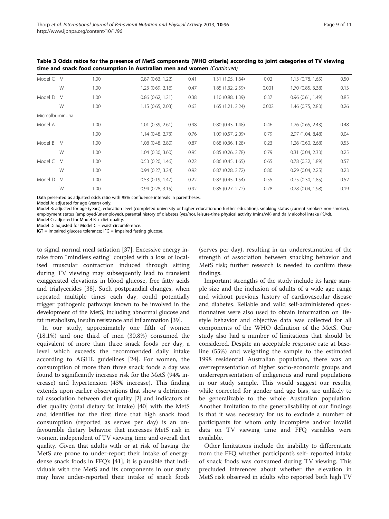| Table 3 Odds ratios for the presence of MetS components (WHO criteria) according to joint categories of TV viewing |
|--------------------------------------------------------------------------------------------------------------------|
| time and snack food consumption in Australian men and women (Continued)                                            |

| Model C M        |   | 1.00 | 0.87(0.63, 1.22)      | 0.41 | 1.31 (1.05, 1.64)     | 0.02  | 1.13 (0.78, 1.65) | 0.50 |
|------------------|---|------|-----------------------|------|-----------------------|-------|-------------------|------|
|                  | W | 1.00 | 1.23(0.69, 2.16)      | 0.47 | 1.85 (1.32, 2.59)     | 0.001 | 1.70 (0.85, 3.38) | 0.13 |
| Model D          | M | 1.00 | $0.86$ $(0.62, 1.21)$ | 0.38 | 1.10 (0.88, 1.39)     | 0.37  | 0.96(0.61, 1.49)  | 0.85 |
|                  | W | 1.00 | 1.15(0.65, 2.03)      | 0.63 | 1.65 (1.21, 2.24)     | 0.002 | 1.46 (0.75, 2.83) | 0.26 |
| Microalbuminuria |   |      |                       |      |                       |       |                   |      |
| Model A          |   | 1.00 | $1.01$ (0.39, 2.61)   | 0.98 | 0.80(0.43, 1.48)      | 0.46  | 1.26 (0.65, 2.43) | 0.48 |
|                  |   | 1.00 | 1.14(0.48, 2.73)      | 0.76 | 1.09(0.57, 2.09)      | 0.79  | 2.97 (1.04, 8.48) | 0.04 |
| Model B          | M | 1.00 | 1.08 (0.48, 2.80)     | 0.87 | $0.68$ $(0.36, 1.28)$ | 0.23  | 1.26 (0.60, 2.68) | 0.53 |
|                  | W | 1.00 | $1.04$ (0.30, 3.60)   | 0.95 | 0.85(0.26, 2.78)      | 0.79  | 0.31(0.04, 2.33)  | 0.25 |
| Model C M        |   | 1.00 | $0.53$ $(0.20, 1.46)$ | 0.22 | $0.86$ $(0.45, 1.65)$ | 0.65  | 0.78(0.32, 1.89)  | 0.57 |
|                  | W | 1.00 | 0.94(0.27, 3.24)      | 0.92 | $0.87$ $(0.28, 2.72)$ | 0.80  | 0.29(0.04, 2.25)  | 0.23 |
| Model D          | M | 1.00 | 0.53(0.19, 1.47)      | 0.22 | $0.83$ $(0.45, 1.54)$ | 0.55  | 0.75(0.30, 1.85)  | 0.52 |
|                  | W | 1.00 | 0.94(0.28, 3.15)      | 0.92 | 0.85(0.27, 2.72)      | 0.78  | 0.28(0.04, 1.98)  | 0.19 |

Data presented as adjusted odds ratio with 95% confidence intervals in parentheses.

Model A: adjusted for age (years) only.

Model B: adjusted for age (years), education level (completed university or higher education/no further education), smoking status (current smoker/ non-smoker), employment status (employed/unemployed), parental history of diabetes (yes/no), leisure-time physical activity (mins/wk) and daily alcohol intake (KJ/d).

Model C: adjusted for Model  $B +$  diet quality. Model D: adjusted for Model  $C +$  waist circumference.

IGT = impaired glucose tolerance; IFG = impaired fasting glucose.

to signal normal meal satiation [[37\]](#page-11-0). Excessive energy intake from "mindless eating" coupled with a loss of localised muscular contraction induced through sitting during TV viewing may subsequently lead to transient exaggerated elevations in blood glucose, free fatty acids and triglycerides [\[38](#page-11-0)]. Such postprandial changes, when repeated multiple times each day, could potentially trigger pathogenic pathways known to be involved in the development of the MetS; including abnormal glucose and fat metabolism, insulin resistance and inflammation [\[39\]](#page-11-0).

In our study, approximately one fifth of women (18.1%) and one third of men (30.8%) consumed the equivalent of more than three snack foods per day, a level which exceeds the recommended daily intake according to AGHE guidelines [\[24](#page-11-0)]. For women, the consumption of more than three snack foods a day was found to significantly increase risk for the MetS (94% increase) and hypertension (43% increase). This finding extends upon earlier observations that show a detrimental association between diet quality [[2\]](#page-10-0) and indicators of diet quality (total dietary fat intake) [[40](#page-11-0)] with the MetS and identifies for the first time that high snack food consumption (reported as serves per day) is an unfavourable dietary behavior that increases MetS risk in women, independent of TV viewing time and overall diet quality. Given that adults with or at risk of having the MetS are prone to under-report their intake of energydense snack foods in FFQ's [[41](#page-11-0)], it is plausible that individuals with the MetS and its components in our study may have under-reported their intake of snack foods (serves per day), resulting in an underestimation of the strength of association between snacking behavior and MetS risk; further research is needed to confirm these findings.

Important strengths of the study include its large sample size and the inclusion of adults of a wide age range and without previous history of cardiovascular disease and diabetes. Reliable and valid self-administered questionnaires were also used to obtain information on lifestyle behavior and objective data was collected for all components of the WHO definition of the MetS. Our study also had a number of limitations that should be considered. Despite an acceptable response rate at baseline (55%) and weighting the sample to the estimated 1998 residential Australian population, there was an overrepresentation of higher socio-economic groups and underrepresentation of indigenous and rural populations in our study sample. This would suggest our results, while corrected for gender and age bias, are unlikely to be generalizable to the whole Australian population. Another limitation to the generalisability of our findings is that it was necessary for us to exclude a number of participants for whom only incomplete and/or invalid data on TV viewing time and FFQ variables were available.

Other limitations include the inability to differentiate from the FFQ whether participant's self- reported intake of snack foods was consumed during TV viewing. This precluded inferences about whether the elevation in MetS risk observed in adults who reported both high TV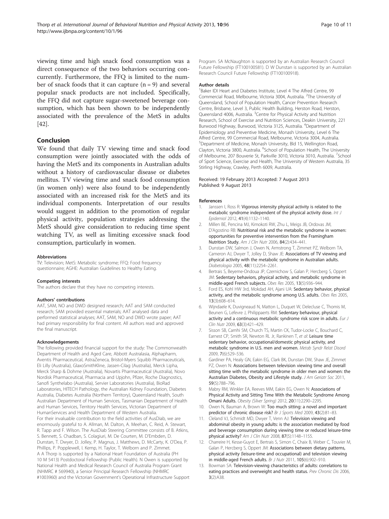<span id="page-10-0"></span>viewing time and high snack food consumption was a direct consequence of the two behaviors occurring concurrently. Furthermore, the FFQ is limited to the number of snack foods that it can capture  $(n = 9)$  and several popular snack products are not included. Specifically, the FFQ did not capture sugar-sweetened beverage consumption, which has been shown to be independently associated with the prevalence of the MetS in adults [[42\]](#page-11-0).

#### Conclusion

We found that daily TV viewing time and snack food consumption were jointly associated with the odds of having the MetS and its components in Australian adults without a history of cardiovascular disease or diabetes mellitus. TV viewing time and snack food consumption (in women only) were also found to be independently associated with an increased risk for the MetS and its individual components. Interpretation of our results would suggest in addition to the promotion of regular physical activity, population strategies addressing the MetS should give consideration to reducing time spent watching TV, as well as limiting excessive snack food consumption, particularly in women.

#### **Abbreviations**

TV: Television; MetS: Metabolic syndrome; FFQ: Food frequency questionnaire; AGHE: Australian Guidelines to Healthy Eating.

#### Competing interests

The authors declare that they have no competing interests.

#### Authors' contributions

AAT, SAM, NO and DWD designed research; AAT and SAM conducted research; SAM provided essential materials; AAT analysed data and performed statistical analyses; AAT, SAM, NO and DWD wrote paper; AAT had primary responsibility for final content. All authors read and approved the final manuscript.

#### Acknowledgements

The following provided financial support for the study: The Commonwealth Department of Health and Aged Care, Abbott Australasia, Alphapharm, Aventis Pharmaceutical, AstraZeneca, Bristol-Myers Squibb Pharmaceuticals, Eli Lilly (Australia), GlaxoSmithKline, Jassen-Cilag (Australia), Merck Lipha, Merck Sharp & Dohme (Australia), Novartis Pharmaceutical (Australia), Novo Nordisk Pharmaceutical, Pharmacia and Upjohn, Pfizer, Roche Diagnostics, Sanofi Synthelabo (Australia), Servier Laboratories (Australia), BioRad Laboratories, HITECH Pathology, the Australian Kidney Foundation, Diabetes Australia, Diabetes Australia (Northern Territory), Queensland Health, South Australian Department of Human Services, Tasmanian Department of Health and Human Services, Territory Health Services, Victorian Department of HumanServices and Health Department of Western Australia. For their invaluable contribution to the field activities of AusDiab, we are enormously grateful to A. Allman, M. Dalton, A. Meehan, C. Reid, A. Stewart, R. Tapp and F. Wilson. The AusDiab Steering Committee consists of B. Atkins, S. Bennett, S. Chadban, S. Colagiuri, M. De Courten, M. D'Embden, D. Dunstan, T. Dwyer, D. Jolley, P. Magnus, J. Matthews, D. McCarty, K. O'Dea, P. Phillips, P. Popplewell, I. Kemp, H. Taylor, T. Welborn and P. Zimmet. A A Thorp is supported by a National Heart Foundation of Australia (PH 10 M 5413) Postdoctoral Fellowship (Public Health). N Owen is supported by National Health and Medical Research Council of Australia Program Grant (NHMRC # 569940), a Senior Principal Research Fellowship (NHMRC #1003960) and the Victorian Government's Operational Infrastructure Support Program. SA McNaughton is supported by an Australian Research Council Future Fellowship (FT100100581). D W Dunstan is supported by an Australian Research Council Future Fellowship (FT100100918).

#### Author details

<sup>1</sup>Baker IDI Heart and Diabetes Institute, Level 4 The Alfred Centre, 99 Commercial Road, Melbourne, Victoria 3004, Australia. <sup>2</sup>The University of Queensland, School of Population Health, Cancer Prevention Research Centre, Brisbane, Level 3, Public Health Building, Herston Road, Herston, Queensland 4006, Australia. <sup>3</sup> Centre for Physical Activity and Nutrition Research, School of Exercise and Nutrition Sciences, Deakin University, 221 Burwood Highway, Burwood, Victoria 3125, Australia. <sup>4</sup>Department of Epidemiology and Preventive Medicine, Monash University, Level 6 The Alfred Centre, 99 Commercial Road, Melbourne, Victoria 3004, Australia. 5 Department of Medicine, Monash University, Bld 15, Wellington Road, Clayton, Victoria 3800, Australia. <sup>6</sup>School of Population Health, The University of Melbourne, 207 Bouverie St, Parkville 3010, Victoria 3010, Australia. <sup>7</sup>School of Sport Science, Exercise and Health, The University of Western Australia, 35 Stirling Highway, Crawley, Perth 6009, Australia.

#### Received: 19 February 2013 Accepted: 7 August 2013 Published: 9 August 2013

#### References

- Janssen I, Ross R: Vigorous intensity physical activity is related to the metabolic syndrome independent of the physical activity dose. Int J Epidemiol 2012, 41(4):1132–1140.
- 2. Millen BE, Pencina MJ, Kimokoti RW, Zhu L, Meigs JB, Ordovas JM, D'Agostino RB: Nutritional risk and the metabolic syndrome in women: opportunities for preventive intervention from the Framingham Nutrition Study. Am J Clin Nutr 2006, 84(2):434–441.
- 3. Dunstan DW, Salmon J, Owen N, Armstrong T, Zimmet PZ, Welborn TA, Cameron AJ, Dwyer T, Jolley D, Shaw JE: Associations of TV viewing and physical activity with the metabolic syndrome in Australian adults. Diabetologia 2005, 48(11):2254–2261.
- 4. Bertrais S, Beyeme-Ondoua JP, Czernichow S, Galan P, Hercberg S, Oppert JM: Sedentary behaviors, physical activity, and metabolic syndrome in middle-aged French subjects. Obes Res 2005, 13(5):936–944.
- 5. Ford ES, Kohl HW 3rd, Mokdad AH, Ajani UA: Sedentary behavior, physical activity, and the metabolic syndrome among U.S. adults. Obes Res 2005, 13(3):608–614.
- 6. Wijndaele K, Duvigneaud N, Matton L, Duquet W, Delecluse C, Thomis M, Beunen G, Lefevre J, Philippaerts RM: Sedentary behaviour, physical activity and a continuous metabolic syndrome risk score in adults. Eur J Clin Nutr 2009, 63(3):421–429.
- 7. Sisson SB, Camhi SM, Church TS, Martin CK, Tudor-Locke C, Bouchard C, Earnest CP, Smith SR, Newton RL Jr, Rankinen T, et al: Leisure time sedentary behavior, occupational/domestic physical activity, and metabolic syndrome in U.S. men and women. Metab Syndr Relat Disord 2009, 7(6):529–536.
- 8. Gardiner PA, Healy GN, Eakin EG, Clark BK, Dunstan DW, Shaw JE, Zimmet PZ, Owen N: Associations between television viewing time and overall sitting time with the metabolic syndrome in older men and women: the Australian Diabetes, Obesity and Lifestyle study. J Am Geriatr Soc 2011, 59(5):788–796.
- 9. Mabry RM, Winkler EA, Reeves MM, Eakin EG, Owen N: Associations of Physical Activity and Sitting Time With the Metabolic Syndrome Among Omani Adults. Obesity (Silver Spring) 2012, 20(11):2290–2295.
- 10. Owen N, Bauman A, Brown W: Too much sitting: a novel and important predictor of chronic disease risk? Br J Sports Med 2009, 43(2):81-83.
- 11. Cleland VJ, Schmidt MD, Dwyer T, Venn AJ: Television viewing and abdominal obesity in young adults: is the association mediated by food and beverage consumption during viewing time or reduced leisure-time physical activity? Am J Clin Nutr 2008, 87(5):1148–1155.
- 12. Charreire H, Kesse-Guyot E, Bertrais S, Simon C, Chaix B, Weber C, Touvier M, Galan P, Hercberg S, Oppert JM: Associations between dietary patterns, physical activity (leisure-time and occupational) and television viewing in middle-aged French adults. Br J Nutr 2011, 105(6):902–910.
- 13. Bowman SA: Television-viewing characteristics of adults: correlations to eating practices and overweight and health status. Prev Chronic Dis 2006, 3(2):A38.